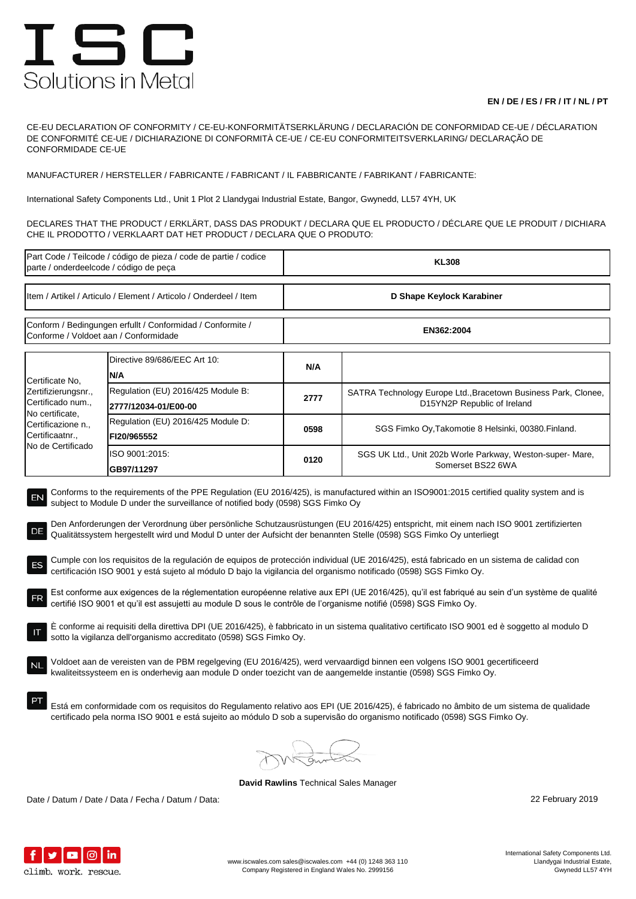## ISC Solutions in Metal

## **EN / DE / ES / FR / IT / NL / PT**

CE-EU DECLARATION OF CONFORMITY / CE-EU-KONFORMITÄTSERKLÄRUNG / DECLARACIÓN DE CONFORMIDAD CE-UE / DÉCLARATION DE CONFORMITÉ CE-UE / DICHIARAZIONE DI CONFORMITÀ CE-UE / CE-EU CONFORMITEITSVERKLARING/ DECLARAÇÃO DE CONFORMIDADE CE-UE

MANUFACTURER / HERSTELLER / FABRICANTE / FABRICANT / IL FABBRICANTE / FABRIKANT / FABRICANTE:

International Safety Components Ltd., Unit 1 Plot 2 Llandygai Industrial Estate, Bangor, Gwynedd, LL57 4YH, UK

DECLARES THAT THE PRODUCT / ERKLÄRT, DASS DAS PRODUKT / DECLARA QUE EL PRODUCTO / DÉCLARE QUE LE PRODUIT / DICHIARA CHE IL PRODOTTO / VERKLAART DAT HET PRODUCT / DECLARA QUE O PRODUTO:

| Part Code / Teilcode / código de pieza / code de partie / codice<br>parte / onderdeelcode / código de peça                                                                                                                                                                                                                                                                                                                                                                                                                                                                                                                                                                                                                                                                                                                                                                                                                                                                                                                                                                                                                                                                                                                                                                                                                                                                                                                                                                                                                                                                                                                                                                                                                                                                                              |                                                            | <b>KL308</b>              |                                                                                               |  |  |
|---------------------------------------------------------------------------------------------------------------------------------------------------------------------------------------------------------------------------------------------------------------------------------------------------------------------------------------------------------------------------------------------------------------------------------------------------------------------------------------------------------------------------------------------------------------------------------------------------------------------------------------------------------------------------------------------------------------------------------------------------------------------------------------------------------------------------------------------------------------------------------------------------------------------------------------------------------------------------------------------------------------------------------------------------------------------------------------------------------------------------------------------------------------------------------------------------------------------------------------------------------------------------------------------------------------------------------------------------------------------------------------------------------------------------------------------------------------------------------------------------------------------------------------------------------------------------------------------------------------------------------------------------------------------------------------------------------------------------------------------------------------------------------------------------------|------------------------------------------------------------|---------------------------|-----------------------------------------------------------------------------------------------|--|--|
| Item / Artikel / Articulo / Element / Articolo / Onderdeel / Item                                                                                                                                                                                                                                                                                                                                                                                                                                                                                                                                                                                                                                                                                                                                                                                                                                                                                                                                                                                                                                                                                                                                                                                                                                                                                                                                                                                                                                                                                                                                                                                                                                                                                                                                       |                                                            | D Shape Keylock Karabiner |                                                                                               |  |  |
| Conform / Bedingungen erfullt / Conformidad / Conformite /<br>Conforme / Voldoet aan / Conformidade                                                                                                                                                                                                                                                                                                                                                                                                                                                                                                                                                                                                                                                                                                                                                                                                                                                                                                                                                                                                                                                                                                                                                                                                                                                                                                                                                                                                                                                                                                                                                                                                                                                                                                     |                                                            | EN362:2004                |                                                                                               |  |  |
| Certificate No,<br>Zertifizierungsnr.,<br>Certificado num.,<br>No certificate,<br>Certificazione n.,<br>Certificaatnr.,<br>No de Certificado                                                                                                                                                                                                                                                                                                                                                                                                                                                                                                                                                                                                                                                                                                                                                                                                                                                                                                                                                                                                                                                                                                                                                                                                                                                                                                                                                                                                                                                                                                                                                                                                                                                            | Directive 89/686/EEC Art 10:<br>N/A                        | N/A                       |                                                                                               |  |  |
|                                                                                                                                                                                                                                                                                                                                                                                                                                                                                                                                                                                                                                                                                                                                                                                                                                                                                                                                                                                                                                                                                                                                                                                                                                                                                                                                                                                                                                                                                                                                                                                                                                                                                                                                                                                                         | Regulation (EU) 2016/425 Module B:<br>2777/12034-01/E00-00 | 2777                      | SATRA Technology Europe Ltd., Bracetown Business Park, Clonee,<br>D15YN2P Republic of Ireland |  |  |
|                                                                                                                                                                                                                                                                                                                                                                                                                                                                                                                                                                                                                                                                                                                                                                                                                                                                                                                                                                                                                                                                                                                                                                                                                                                                                                                                                                                                                                                                                                                                                                                                                                                                                                                                                                                                         | Regulation (EU) 2016/425 Module D:<br>FI20/965552          | 0598                      | SGS Fimko Oy, Takomotie 8 Helsinki, 00380. Finland.                                           |  |  |
|                                                                                                                                                                                                                                                                                                                                                                                                                                                                                                                                                                                                                                                                                                                                                                                                                                                                                                                                                                                                                                                                                                                                                                                                                                                                                                                                                                                                                                                                                                                                                                                                                                                                                                                                                                                                         | ISO 9001:2015:<br>GB97/11297                               | 0120                      | SGS UK Ltd., Unit 202b Worle Parkway, Weston-super- Mare,<br>Somerset BS22 6WA                |  |  |
| Conforms to the requirements of the PPE Regulation (EU 2016/425), is manufactured within an ISO9001:2015 certified quality system and is<br>EN<br>subject to Module D under the surveillance of notified body (0598) SGS Fimko Oy<br>Den Anforderungen der Verordnung über persönliche Schutzausrüstungen (EU 2016/425) entspricht, mit einem nach ISO 9001 zertifizierten<br>Qualitätssystem hergestellt wird und Modul D unter der Aufsicht der benannten Stelle (0598) SGS Fimko Oy unterliegt<br>Cumple con los requisitos de la regulación de equipos de protección individual (UE 2016/425), está fabricado en un sistema de calidad con<br>certificación ISO 9001 y está sujeto al módulo D bajo la vigilancia del organismo notificado (0598) SGS Fimko Oy.<br>Est conforme aux exigences de la réglementation européenne relative aux EPI (UE 2016/425), qu'il est fabriqué au sein d'un système de qualité<br>certifié ISO 9001 et qu'il est assujetti au module D sous le contrôle de l'organisme notifié (0598) SGS Fimko Oy.<br>E conforme ai requisiti della direttiva DPI (UE 2016/425), è fabbricato in un sistema qualitativo certificato ISO 9001 ed è soggetto al modulo D<br>sotto la vigilanza dell'organismo accreditato (0598) SGS Fimko Oy.<br>Voldoet aan de vereisten van de PBM regelgeving (EU 2016/425), werd vervaardigd binnen een volgens ISO 9001 gecertificeerd<br><b>NL</b><br>kwaliteitssysteem en is onderhevig aan module D onder toezicht van de aangemelde instantie (0598) SGS Fimko Oy.<br>Está em conformidade com os requisitos do Regulamento relativo aos EPI (UE 2016/425), é fabricado no âmbito de um sistema de qualidade<br>certificado pela norma ISO 9001 e está sujeito ao módulo D sob a supervisão do organismo notificado (0598) SGS Fimko Oy. |                                                            |                           |                                                                                               |  |  |
|                                                                                                                                                                                                                                                                                                                                                                                                                                                                                                                                                                                                                                                                                                                                                                                                                                                                                                                                                                                                                                                                                                                                                                                                                                                                                                                                                                                                                                                                                                                                                                                                                                                                                                                                                                                                         |                                                            |                           |                                                                                               |  |  |

**David Rawlins** Technical Sales Manager

Date / Datum / Date / Data / Fecha / Datum / Data: 22 February 2019